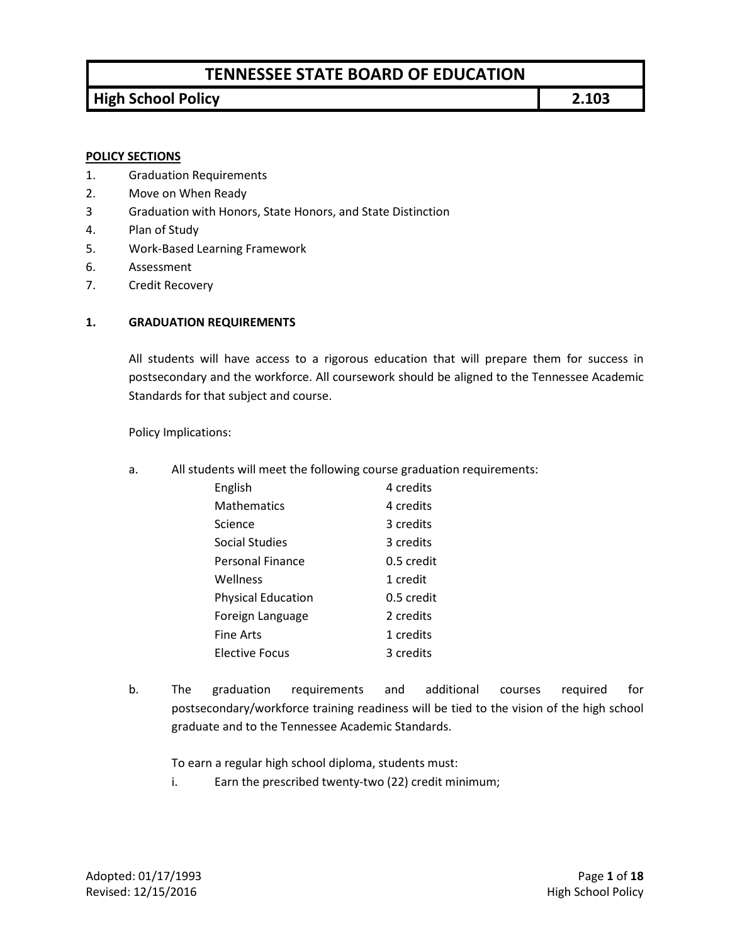### **High School Policy 2.103**

### **POLICY SECTIONS**

- 1. Graduation Requirements
- 2. Move on When Ready
- 3 Graduation with Honors, State Honors, and State Distinction
- 4. Plan of Study
- 5. Work-Based Learning Framework
- 6. Assessment
- 7. Credit Recovery

#### **1. GRADUATION REQUIREMENTS**

All students will have access to a rigorous education that will prepare them for success in postsecondary and the workforce. All coursework should be aligned to the Tennessee Academic Standards for that subject and course.

Policy Implications:

a. All students will meet the following course graduation requirements:

| English                   | 4 credits  |
|---------------------------|------------|
| <b>Mathematics</b>        | 4 credits  |
| Science                   | 3 credits  |
| Social Studies            | 3 credits  |
| Personal Finance          | 0.5 credit |
| Wellness                  | 1 credit   |
| <b>Physical Education</b> | 0.5 credit |
| Foreign Language          | 2 credits  |
| <b>Fine Arts</b>          | 1 credits  |
| <b>Elective Focus</b>     | 3 credits  |

b. The graduation requirements and additional courses required for postsecondary/workforce training readiness will be tied to the vision of the high school graduate and to the Tennessee Academic Standards.

To earn a regular high school diploma, students must:

i. Earn the prescribed twenty-two (22) credit minimum;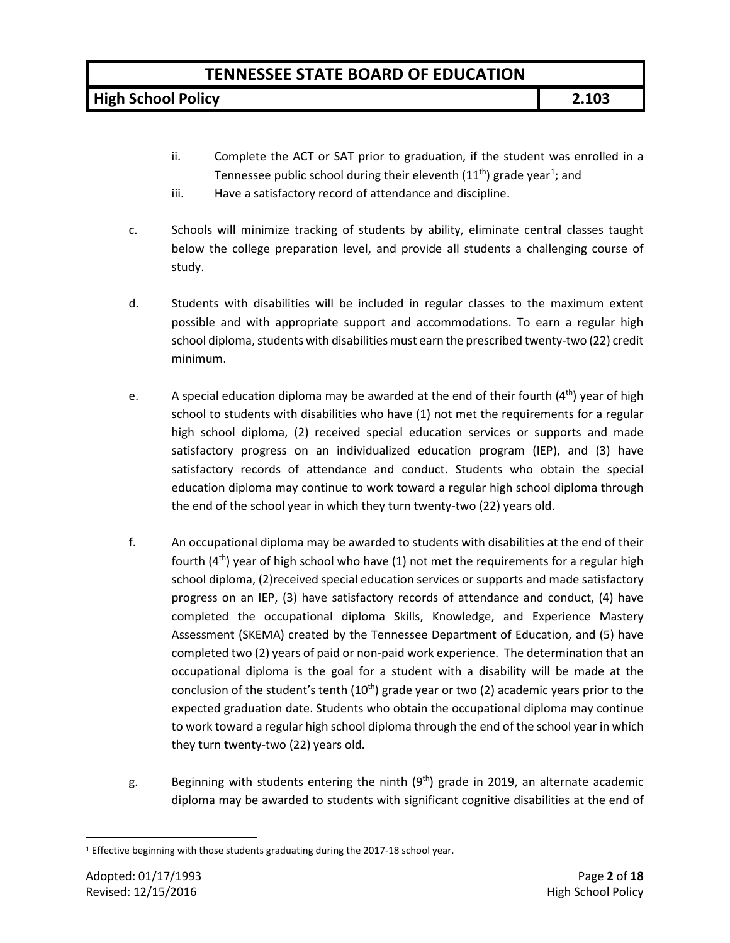**High School Policy 2.103**

- ii. Complete the ACT or SAT prior to graduation, if the student was enrolled in a Tennessee public school during their eleventh ([1](#page-1-0)1<sup>th</sup>) grade year<sup>1</sup>; and
- iii. Have a satisfactory record of attendance and discipline.
- c. Schools will minimize tracking of students by ability, eliminate central classes taught below the college preparation level, and provide all students a challenging course of study.
- d. Students with disabilities will be included in regular classes to the maximum extent possible and with appropriate support and accommodations. To earn a regular high school diploma, students with disabilities must earn the prescribed twenty-two (22) credit minimum.
- e. A special education diploma may be awarded at the end of their fourth  $(4<sup>th</sup>)$  year of high school to students with disabilities who have (1) not met the requirements for a regular high school diploma, (2) received special education services or supports and made satisfactory progress on an individualized education program (IEP), and (3) have satisfactory records of attendance and conduct. Students who obtain the special education diploma may continue to work toward a regular high school diploma through the end of the school year in which they turn twenty-two (22) years old.
- f. An occupational diploma may be awarded to students with disabilities at the end of their fourth  $(4<sup>th</sup>)$  year of high school who have  $(1)$  not met the requirements for a regular high school diploma, (2)received special education services or supports and made satisfactory progress on an IEP, (3) have satisfactory records of attendance and conduct, (4) have completed the occupational diploma Skills, Knowledge, and Experience Mastery Assessment (SKEMA) created by the Tennessee Department of Education, and (5) have completed two (2) years of paid or non-paid work experience. The determination that an occupational diploma is the goal for a student with a disability will be made at the conclusion of the student's tenth  $(10<sup>th</sup>)$  grade year or two (2) academic years prior to the expected graduation date. Students who obtain the occupational diploma may continue to work toward a regular high school diploma through the end of the school year in which they turn twenty-two (22) years old.
- g. Beginning with students entering the ninth  $(9<sup>th</sup>)$  grade in 2019, an alternate academic diploma may be awarded to students with significant cognitive disabilities at the end of

<span id="page-1-0"></span><sup>&</sup>lt;sup>1</sup> Effective beginning with those students graduating during the 2017-18 school year.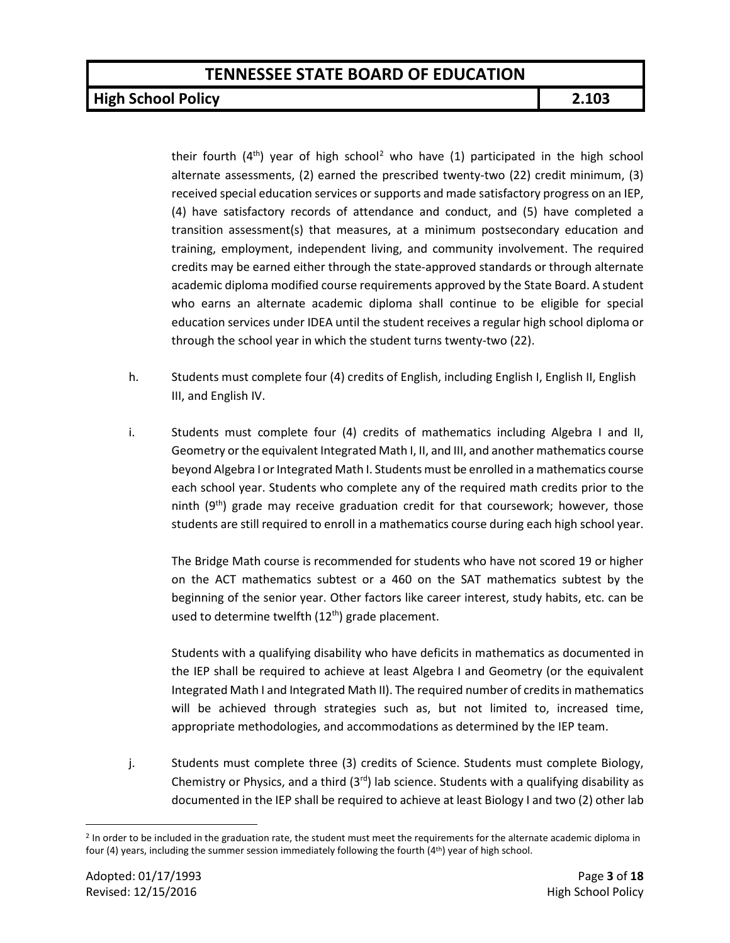### **High School Policy 2.103**

their fourth  $(4<sup>th</sup>)$  year of high school<sup>2</sup> who have  $(1)$  participated in the high school alternate assessments, (2) earned the prescribed twenty-two (22) credit minimum, (3) received special education services or supports and made satisfactory progress on an IEP, (4) have satisfactory records of attendance and conduct, and (5) have completed a transition assessment(s) that measures, at a minimum postsecondary education and training, employment, independent living, and community involvement. The required credits may be earned either through the state-approved standards or through alternate academic diploma modified course requirements approved by the State Board. A student who earns an alternate academic diploma shall continue to be eligible for special education services under IDEA until the student receives a regular high school diploma or through the school year in which the student turns twenty-two (22).

- h. Students must complete four (4) credits of English, including English I, English II, English III, and English IV.
- i. Students must complete four (4) credits of mathematics including Algebra I and II, Geometry or the equivalent Integrated Math I, II, and III, and another mathematics course beyond Algebra I or Integrated Math I. Students must be enrolled in a mathematics course each school year. Students who complete any of the required math credits prior to the ninth  $(9<sup>th</sup>)$  grade may receive graduation credit for that coursework; however, those students are still required to enroll in a mathematics course during each high school year.

The Bridge Math course is recommended for students who have not scored 19 or higher on the ACT mathematics subtest or a 460 on the SAT mathematics subtest by the beginning of the senior year. Other factors like career interest, study habits, etc. can be used to determine twelfth  $(12<sup>th</sup>)$  grade placement.

Students with a qualifying disability who have deficits in mathematics as documented in the IEP shall be required to achieve at least Algebra I and Geometry (or the equivalent Integrated Math I and Integrated Math II). The required number of credits in mathematics will be achieved through strategies such as, but not limited to, increased time, appropriate methodologies, and accommodations as determined by the IEP team.

j. Students must complete three (3) credits of Science. Students must complete Biology, Chemistry or Physics, and a third  $(3<sup>rd</sup>)$  lab science. Students with a qualifying disability as documented in the IEP shall be required to achieve at least Biology I and two (2) other lab

<span id="page-2-0"></span><sup>&</sup>lt;sup>2</sup> In order to be included in the graduation rate, the student must meet the requirements for the alternate academic diploma in four (4) years, including the summer session immediately following the fourth (4th) year of high school.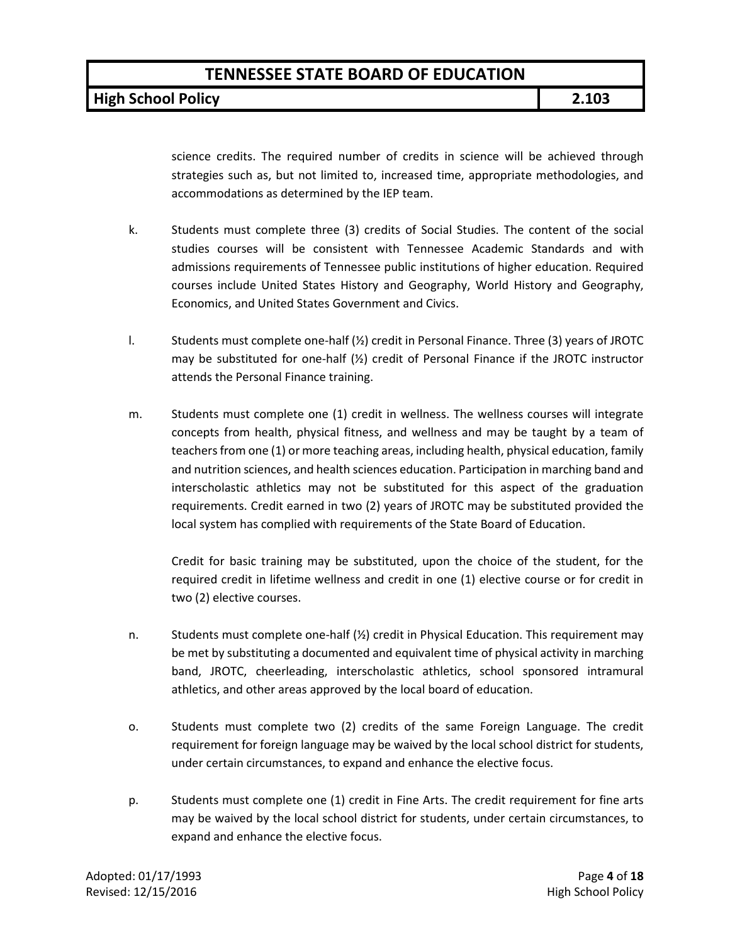**High School Policy 2.103**

science credits. The required number of credits in science will be achieved through strategies such as, but not limited to, increased time, appropriate methodologies, and accommodations as determined by the IEP team.

- k. Students must complete three (3) credits of Social Studies. The content of the social studies courses will be consistent with Tennessee Academic Standards and with admissions requirements of Tennessee public institutions of higher education. Required courses include United States History and Geography, World History and Geography, Economics, and United States Government and Civics.
- l. Students must complete one-half (½) credit in Personal Finance. Three (3) years of JROTC may be substituted for one-half  $(Y_2)$  credit of Personal Finance if the JROTC instructor attends the Personal Finance training.
- m. Students must complete one (1) credit in wellness. The wellness courses will integrate concepts from health, physical fitness, and wellness and may be taught by a team of teachers from one (1) or more teaching areas, including health, physical education, family and nutrition sciences, and health sciences education. Participation in marching band and interscholastic athletics may not be substituted for this aspect of the graduation requirements. Credit earned in two (2) years of JROTC may be substituted provided the local system has complied with requirements of the State Board of Education.

Credit for basic training may be substituted, upon the choice of the student, for the required credit in lifetime wellness and credit in one (1) elective course or for credit in two (2) elective courses.

- n. Students must complete one-half  $(\frac{1}{2})$  credit in Physical Education. This requirement may be met by substituting a documented and equivalent time of physical activity in marching band, JROTC, cheerleading, interscholastic athletics, school sponsored intramural athletics, and other areas approved by the local board of education.
- o. Students must complete two (2) credits of the same Foreign Language. The credit requirement for foreign language may be waived by the local school district for students, under certain circumstances, to expand and enhance the elective focus.
- p. Students must complete one (1) credit in Fine Arts. The credit requirement for fine arts may be waived by the local school district for students, under certain circumstances, to expand and enhance the elective focus.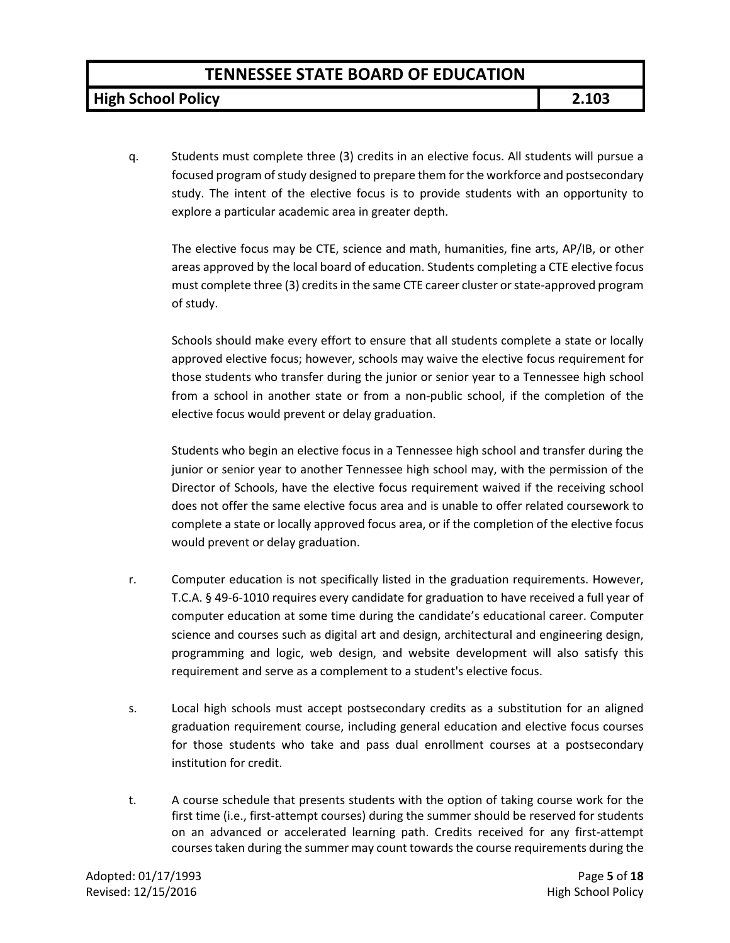**High School Policy 2.103**

q. Students must complete three (3) credits in an elective focus. All students will pursue a focused program of study designed to prepare them for the workforce and postsecondary study. The intent of the elective focus is to provide students with an opportunity to explore a particular academic area in greater depth.

The elective focus may be CTE, science and math, humanities, fine arts, AP/IB, or other areas approved by the local board of education. Students completing a CTE elective focus must complete three (3) credits in the same CTE career cluster or state-approved program of study.

Schools should make every effort to ensure that all students complete a state or locally approved elective focus; however, schools may waive the elective focus requirement for those students who transfer during the junior or senior year to a Tennessee high school from a school in another state or from a non-public school, if the completion of the elective focus would prevent or delay graduation.

Students who begin an elective focus in a Tennessee high school and transfer during the junior or senior year to another Tennessee high school may, with the permission of the Director of Schools, have the elective focus requirement waived if the receiving school does not offer the same elective focus area and is unable to offer related coursework to complete a state or locally approved focus area, or if the completion of the elective focus would prevent or delay graduation.

- r. Computer education is not specifically listed in the graduation requirements. However, T.C.A. § 49-6-1010 requires every candidate for graduation to have received a full year of computer education at some time during the candidate's educational career. Computer science and courses such as digital art and design, architectural and engineering design, programming and logic, web design, and website development will also satisfy this requirement and serve as a complement to a student's elective focus.
- s. Local high schools must accept postsecondary credits as a substitution for an aligned graduation requirement course, including general education and elective focus courses for those students who take and pass dual enrollment courses at a postsecondary institution for credit.
- t. A course schedule that presents students with the option of taking course work for the first time (i.e., first-attempt courses) during the summer should be reserved for students on an advanced or accelerated learning path. Credits received for any first-attempt courses taken during the summer may count towards the course requirements during the

Adopted: 01/17/1993 Page **5** of **18** Revised: 12/15/2016 **High School Policy High School Policy**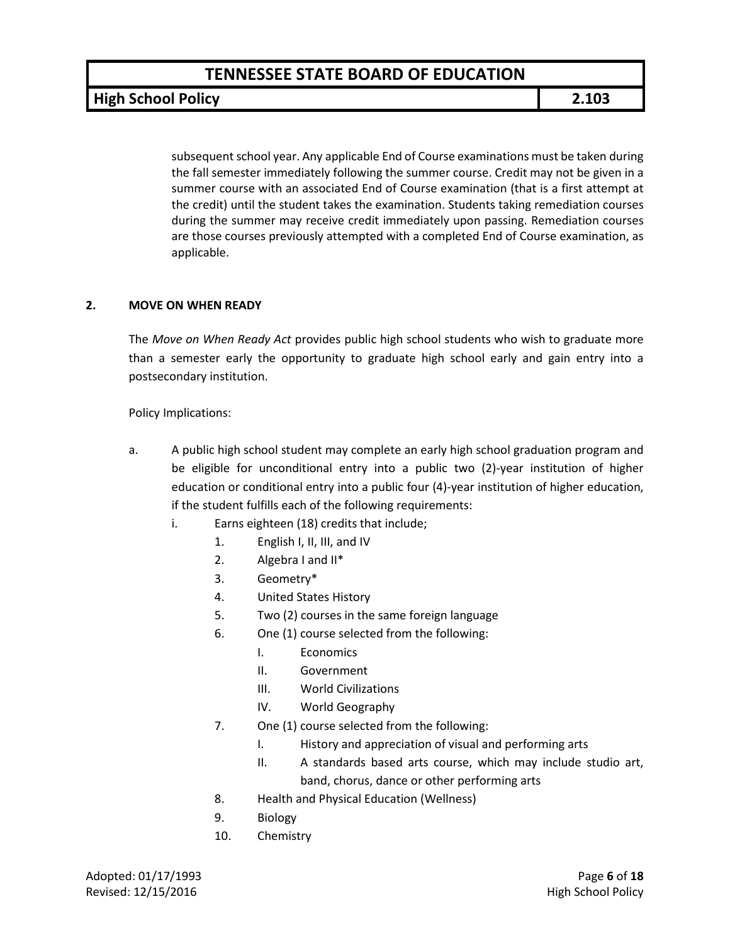**High School Policy 2.103**

subsequent school year. Any applicable End of Course examinations must be taken during the fall semester immediately following the summer course. Credit may not be given in a summer course with an associated End of Course examination (that is a first attempt at the credit) until the student takes the examination. Students taking remediation courses during the summer may receive credit immediately upon passing. Remediation courses are those courses previously attempted with a completed End of Course examination, as applicable.

#### **2. MOVE ON WHEN READY**

The *Move on When Ready Act* provides public high school students who wish to graduate more than a semester early the opportunity to graduate high school early and gain entry into a postsecondary institution.

Policy Implications:

- a. A public high school student may complete an early high school graduation program and be eligible for unconditional entry into a public two (2)-year institution of higher education or conditional entry into a public four (4)-year institution of higher education, if the student fulfills each of the following requirements:
	- i. Earns eighteen (18) credits that include;
		- 1. English I, II, III, and IV
		- 2. Algebra I and II\*
		- 3. Geometry\*
		- 4. United States History
		- 5. Two (2) courses in the same foreign language
		- 6. One (1) course selected from the following:
			- I. Economics
			- II. Government
			- III. World Civilizations
			- IV. World Geography
		- 7. One (1) course selected from the following:
			- I. History and appreciation of visual and performing arts
			- II. A standards based arts course, which may include studio art, band, chorus, dance or other performing arts
		- 8. Health and Physical Education (Wellness)
		- 9. Biology
		- 10. Chemistry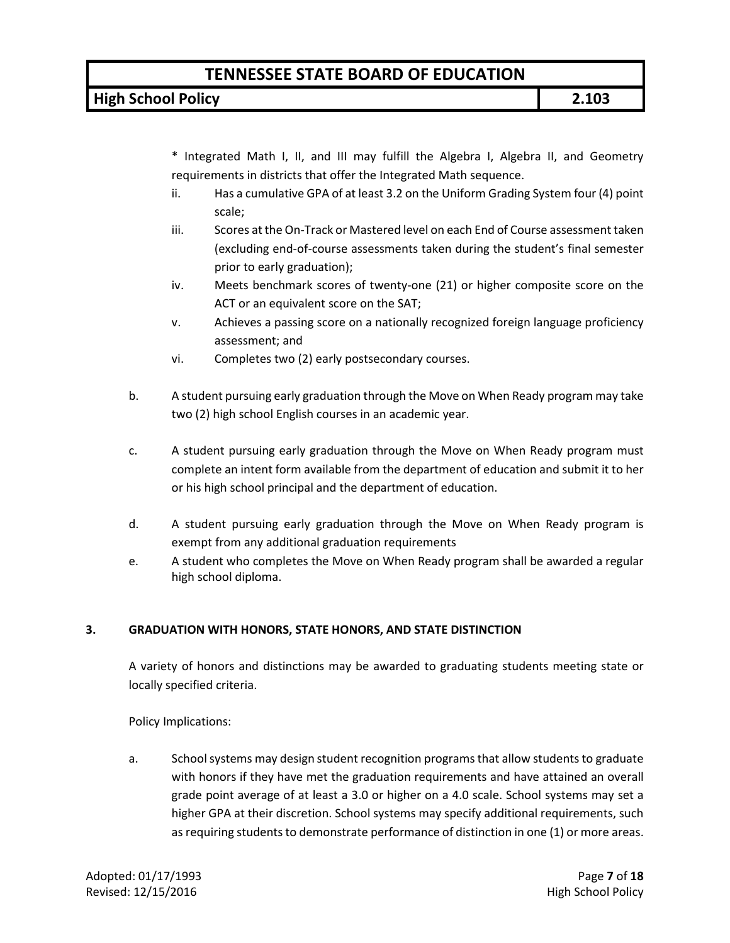**High School Policy 2.103**

\* Integrated Math I, II, and III may fulfill the Algebra I, Algebra II, and Geometry requirements in districts that offer the Integrated Math sequence.

- ii. Has a cumulative GPA of at least 3.2 on the Uniform Grading System four (4) point scale;
- iii. Scores at the On-Track or Mastered level on each End of Course assessment taken (excluding end-of-course assessments taken during the student's final semester prior to early graduation);
- iv. Meets benchmark scores of twenty-one (21) or higher composite score on the ACT or an equivalent score on the SAT;
- v. Achieves a passing score on a nationally recognized foreign language proficiency assessment; and
- vi. Completes two (2) early postsecondary courses.
- b. A student pursuing early graduation through the Move on When Ready program may take two (2) high school English courses in an academic year.
- c. A student pursuing early graduation through the Move on When Ready program must complete an intent form available from the department of education and submit it to her or his high school principal and the department of education.
- d. A student pursuing early graduation through the Move on When Ready program is exempt from any additional graduation requirements
- e. A student who completes the Move on When Ready program shall be awarded a regular high school diploma.

### **3. GRADUATION WITH HONORS, STATE HONORS, AND STATE DISTINCTION**

A variety of honors and distinctions may be awarded to graduating students meeting state or locally specified criteria.

Policy Implications:

a. School systems may design student recognition programs that allow students to graduate with honors if they have met the graduation requirements and have attained an overall grade point average of at least a 3.0 or higher on a 4.0 scale. School systems may set a higher GPA at their discretion. School systems may specify additional requirements, such as requiring students to demonstrate performance of distinction in one (1) or more areas.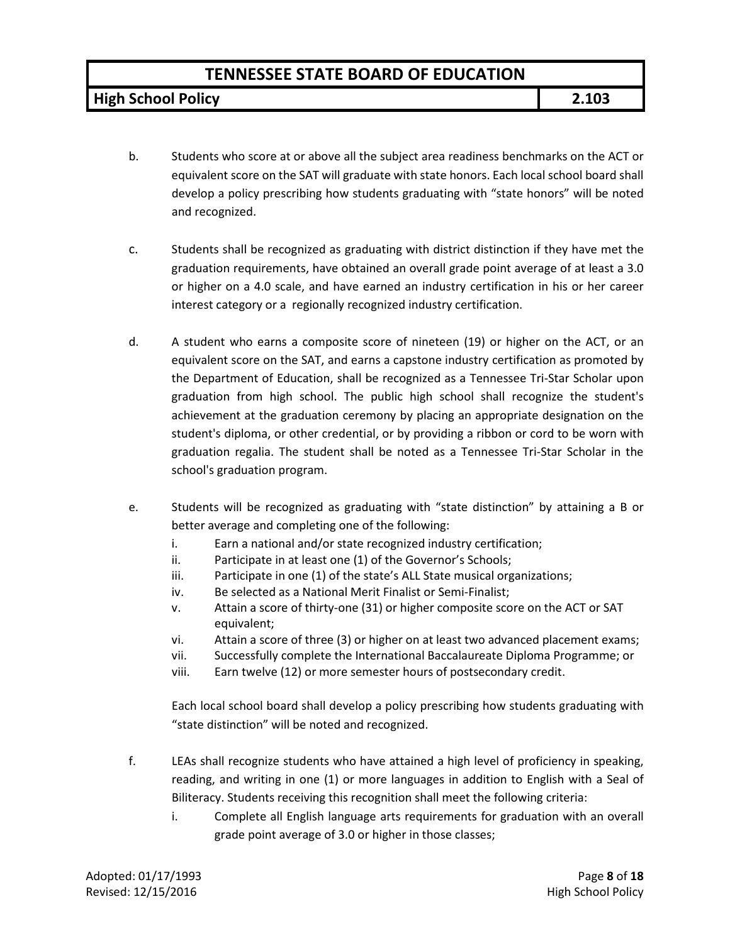**High School Policy 2.103**

- b. Students who score at or above all the subject area readiness benchmarks on the ACT or equivalent score on the SAT will graduate with state honors. Each local school board shall develop a policy prescribing how students graduating with "state honors" will be noted and recognized.
- c. Students shall be recognized as graduating with district distinction if they have met the graduation requirements, have obtained an overall grade point average of at least a 3.0 or higher on a 4.0 scale, and have earned an industry certification in his or her career interest category or a regionally recognized industry certification.
- d. A student who earns a composite score of nineteen (19) or higher on the ACT, or an equivalent score on the SAT, and earns a capstone industry certification as promoted by the Department of Education, shall be recognized as a Tennessee Tri-Star Scholar upon graduation from high school. The public high school shall recognize the student's achievement at the graduation ceremony by placing an appropriate designation on the student's diploma, or other credential, or by providing a ribbon or cord to be worn with graduation regalia. The student shall be noted as a Tennessee Tri-Star Scholar in the school's graduation program.
- e. Students will be recognized as graduating with "state distinction" by attaining a B or better average and completing one of the following:
	- i. Earn a national and/or state recognized industry certification;
	- ii. Participate in at least one (1) of the Governor's Schools;
	- iii. Participate in one (1) of the state's ALL State musical organizations;
	- iv. Be selected as a National Merit Finalist or Semi-Finalist;
	- v. Attain a score of thirty-one (31) or higher composite score on the ACT or SAT equivalent;
	- vi. Attain a score of three (3) or higher on at least two advanced placement exams;
	- vii. Successfully complete the International Baccalaureate Diploma Programme; or
	- viii. Earn twelve (12) or more semester hours of postsecondary credit.

Each local school board shall develop a policy prescribing how students graduating with "state distinction" will be noted and recognized.

- f. LEAs shall recognize students who have attained a high level of proficiency in speaking, reading, and writing in one (1) or more languages in addition to English with a Seal of Biliteracy. Students receiving this recognition shall meet the following criteria:
	- i. Complete all English language arts requirements for graduation with an overall grade point average of 3.0 or higher in those classes;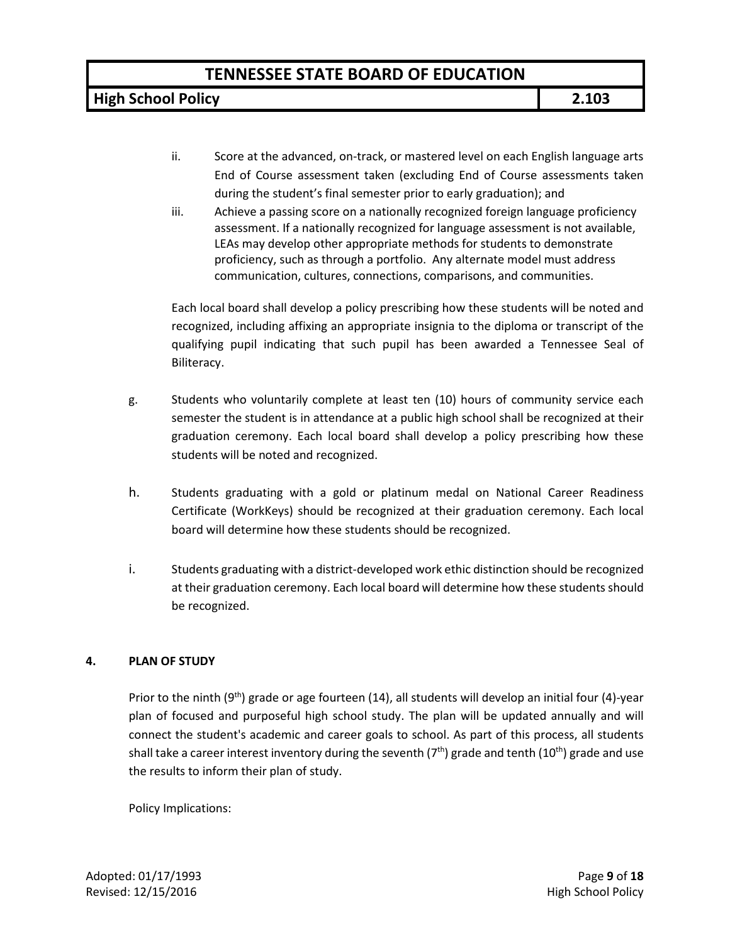**High School Policy 2.103**

- ii. Score at the advanced, on-track, or mastered level on each English language arts End of Course assessment taken (excluding End of Course assessments taken during the student's final semester prior to early graduation); and
- iii. Achieve a passing score on a nationally recognized foreign language proficiency assessment. If a nationally recognized for language assessment is not available, LEAs may develop other appropriate methods for students to demonstrate proficiency, such as through a portfolio. Any alternate model must address communication, cultures, connections, comparisons, and communities.

Each local board shall develop a policy prescribing how these students will be noted and recognized, including affixing an appropriate insignia to the diploma or transcript of the qualifying pupil indicating that such pupil has been awarded a Tennessee Seal of Biliteracy.

- g. Students who voluntarily complete at least ten (10) hours of community service each semester the student is in attendance at a public high school shall be recognized at their graduation ceremony. Each local board shall develop a policy prescribing how these students will be noted and recognized.
- h. Students graduating with a gold or platinum medal on National Career Readiness Certificate (WorkKeys) should be recognized at their graduation ceremony. Each local board will determine how these students should be recognized.
- i. Students graduating with a district-developed work ethic distinction should be recognized at their graduation ceremony. Each local board will determine how these students should be recognized.

### **4. PLAN OF STUDY**

Prior to the ninth (9<sup>th</sup>) grade or age fourteen (14), all students will develop an initial four (4)-year plan of focused and purposeful high school study. The plan will be updated annually and will connect the student's academic and career goals to school. As part of this process, all students shall take a career interest inventory during the seventh ( $7<sup>th</sup>$ ) grade and tenth ( $10<sup>th</sup>$ ) grade and use the results to inform their plan of study.

Policy Implications: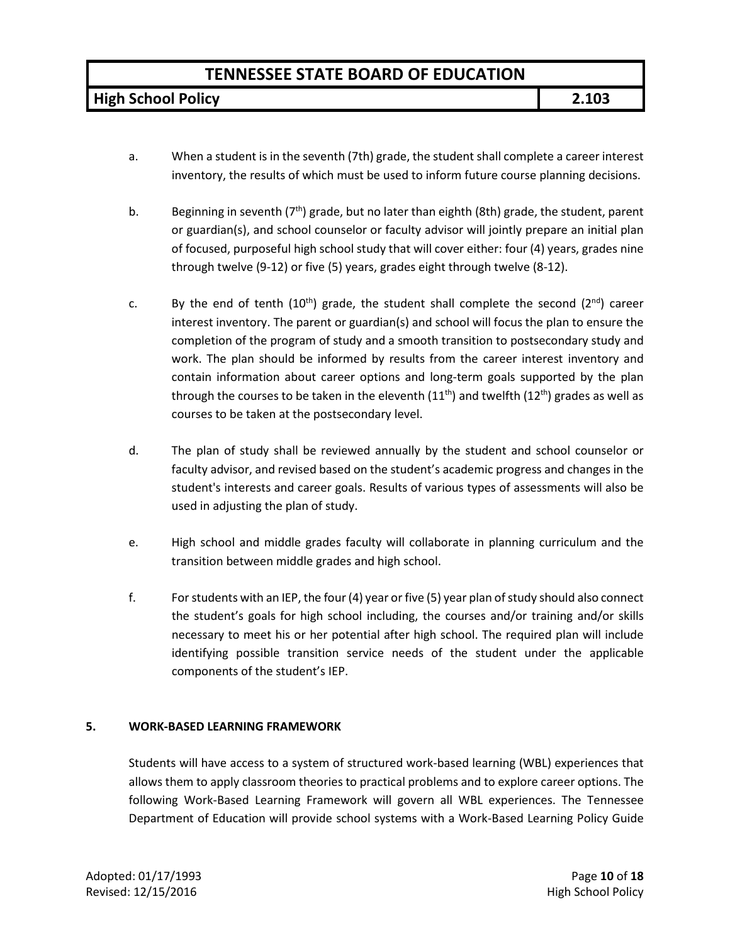**High School Policy 2.103**

- a. When a student is in the seventh (7th) grade, the student shall complete a career interest inventory, the results of which must be used to inform future course planning decisions.
- b. Beginning in seventh ( $7<sup>th</sup>$ ) grade, but no later than eighth (8th) grade, the student, parent or guardian(s), and school counselor or faculty advisor will jointly prepare an initial plan of focused, purposeful high school study that will cover either: four (4) years, grades nine through twelve (9-12) or five (5) years, grades eight through twelve (8-12).
- c. By the end of tenth  $(10^{th})$  grade, the student shall complete the second  $(2^{nd})$  career interest inventory. The parent or guardian(s) and school will focus the plan to ensure the completion of the program of study and a smooth transition to postsecondary study and work. The plan should be informed by results from the career interest inventory and contain information about career options and long-term goals supported by the plan through the courses to be taken in the eleventh  $(11<sup>th</sup>)$  and twelfth  $(12<sup>th</sup>)$  grades as well as courses to be taken at the postsecondary level.
- d. The plan of study shall be reviewed annually by the student and school counselor or faculty advisor, and revised based on the student's academic progress and changes in the student's interests and career goals. Results of various types of assessments will also be used in adjusting the plan of study.
- e. High school and middle grades faculty will collaborate in planning curriculum and the transition between middle grades and high school.
- f. For students with an IEP, the four(4) year or five (5) year plan of study should also connect the student's goals for high school including, the courses and/or training and/or skills necessary to meet his or her potential after high school. The required plan will include identifying possible transition service needs of the student under the applicable components of the student's IEP.

#### **5. WORK-BASED LEARNING FRAMEWORK**

Students will have access to a system of structured work-based learning (WBL) experiences that allows them to apply classroom theories to practical problems and to explore career options. The following Work-Based Learning Framework will govern all WBL experiences. The Tennessee Department of Education will provide school systems with a Work-Based Learning Policy Guide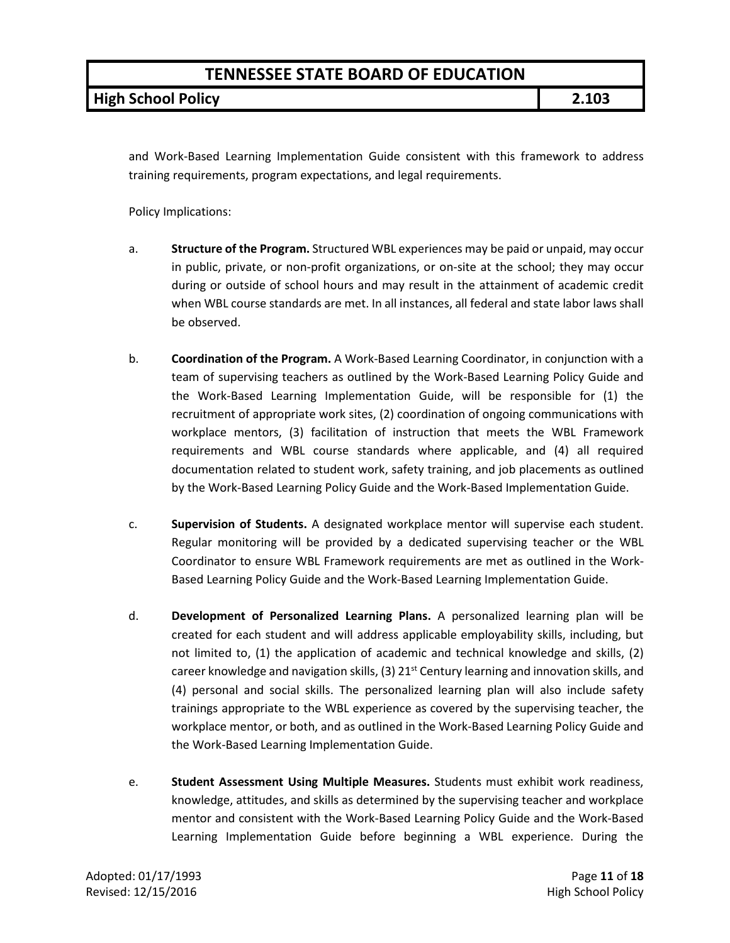**High School Policy 2.103**

and Work-Based Learning Implementation Guide consistent with this framework to address training requirements, program expectations, and legal requirements.

Policy Implications:

- a. **Structure of the Program.** Structured WBL experiences may be paid or unpaid, may occur in public, private, or non-profit organizations, or on-site at the school; they may occur during or outside of school hours and may result in the attainment of academic credit when WBL course standards are met. In all instances, all federal and state labor laws shall be observed.
- b. **Coordination of the Program.** A Work-Based Learning Coordinator, in conjunction with a team of supervising teachers as outlined by the Work-Based Learning Policy Guide and the Work-Based Learning Implementation Guide, will be responsible for (1) the recruitment of appropriate work sites, (2) coordination of ongoing communications with workplace mentors, (3) facilitation of instruction that meets the WBL Framework requirements and WBL course standards where applicable, and (4) all required documentation related to student work, safety training, and job placements as outlined by the Work-Based Learning Policy Guide and the Work-Based Implementation Guide.
- c. **Supervision of Students.** A designated workplace mentor will supervise each student. Regular monitoring will be provided by a dedicated supervising teacher or the WBL Coordinator to ensure WBL Framework requirements are met as outlined in the Work-Based Learning Policy Guide and the Work-Based Learning Implementation Guide.
- d. **Development of Personalized Learning Plans.** A personalized learning plan will be created for each student and will address applicable employability skills, including, but not limited to, (1) the application of academic and technical knowledge and skills, (2) career knowledge and navigation skills, (3)  $21^{st}$  Century learning and innovation skills, and (4) personal and social skills. The personalized learning plan will also include safety trainings appropriate to the WBL experience as covered by the supervising teacher, the workplace mentor, or both, and as outlined in the Work-Based Learning Policy Guide and the Work-Based Learning Implementation Guide.
- e. **Student Assessment Using Multiple Measures.** Students must exhibit work readiness, knowledge, attitudes, and skills as determined by the supervising teacher and workplace mentor and consistent with the Work-Based Learning Policy Guide and the Work-Based Learning Implementation Guide before beginning a WBL experience. During the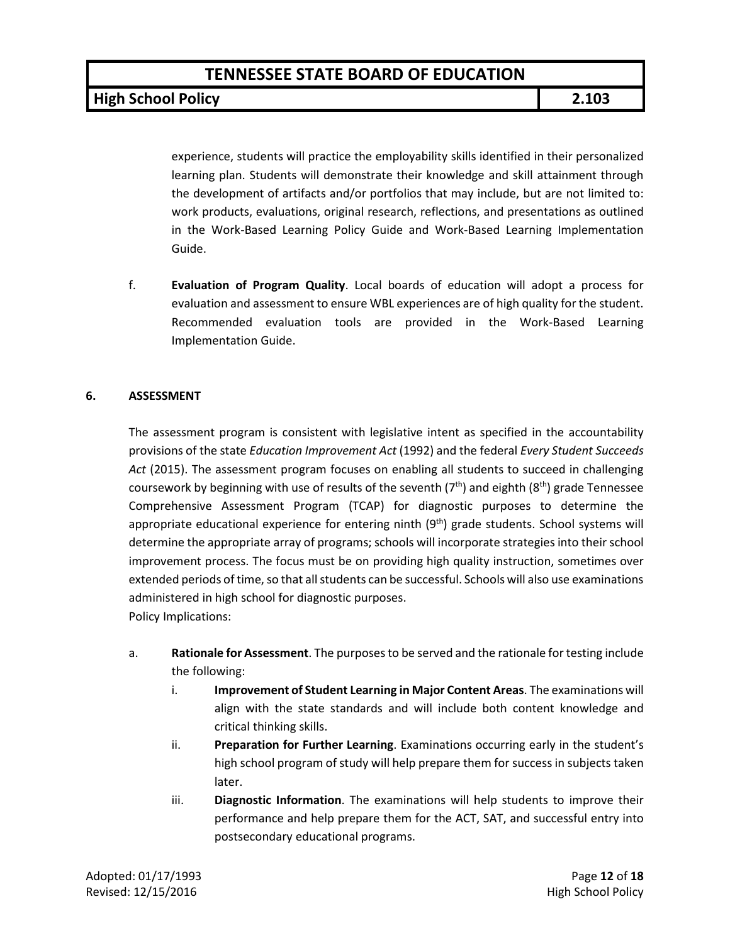**High School Policy 2.103**

experience, students will practice the employability skills identified in their personalized learning plan. Students will demonstrate their knowledge and skill attainment through the development of artifacts and/or portfolios that may include, but are not limited to: work products, evaluations, original research, reflections, and presentations as outlined in the Work-Based Learning Policy Guide and Work-Based Learning Implementation Guide.

f. **Evaluation of Program Quality**. Local boards of education will adopt a process for evaluation and assessment to ensure WBL experiences are of high quality for the student. Recommended evaluation tools are provided in the Work-Based Learning Implementation Guide.

#### **6. ASSESSMENT**

The assessment program is consistent with legislative intent as specified in the accountability provisions of the state *Education Improvement Act* (1992) and the federal *Every Student Succeeds Act* (2015). The assessment program focuses on enabling all students to succeed in challenging coursework by beginning with use of results of the seventh  $(7<sup>th</sup>)$  and eighth  $(8<sup>th</sup>)$  grade Tennessee Comprehensive Assessment Program (TCAP) for diagnostic purposes to determine the appropriate educational experience for entering ninth  $(9<sup>th</sup>)$  grade students. School systems will determine the appropriate array of programs; schools will incorporate strategies into their school improvement process. The focus must be on providing high quality instruction, sometimes over extended periods of time, so that all students can be successful. Schools will also use examinations administered in high school for diagnostic purposes. Policy Implications:

- a. **Rationale for Assessment**. The purposes to be served and the rationale for testing include the following:
	- i. **Improvement of Student Learning in Major Content Areas**. The examinations will align with the state standards and will include both content knowledge and critical thinking skills.
	- ii. **Preparation for Further Learning**. Examinations occurring early in the student's high school program of study will help prepare them for success in subjects taken later.
	- iii. **Diagnostic Information**. The examinations will help students to improve their performance and help prepare them for the ACT, SAT, and successful entry into postsecondary educational programs.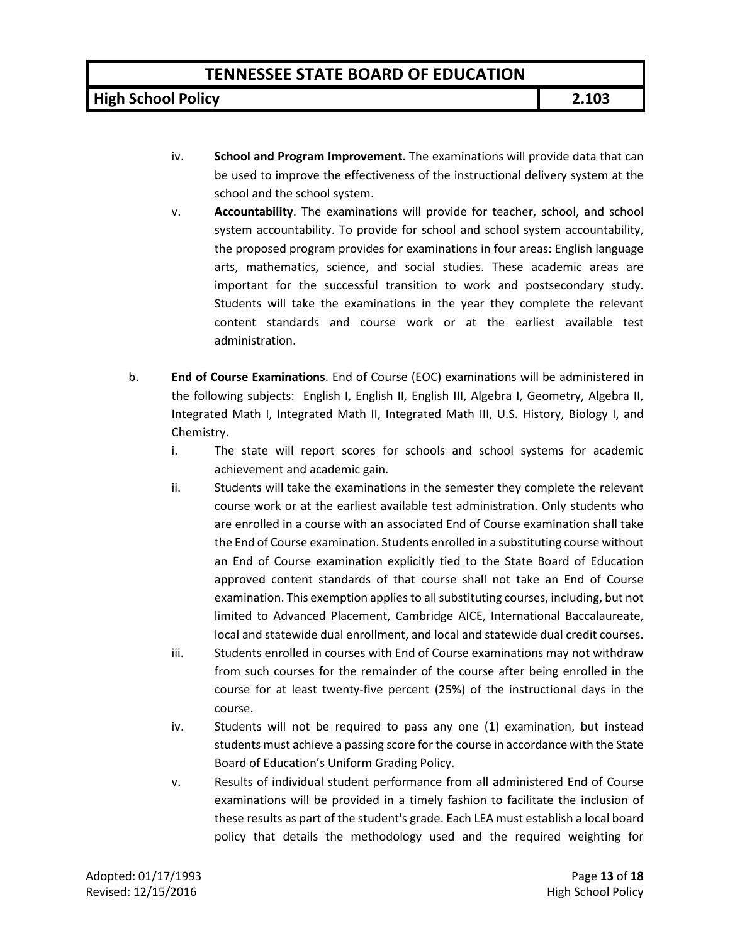**High School Policy 2.103**

- iv. **School and Program Improvement**. The examinations will provide data that can be used to improve the effectiveness of the instructional delivery system at the school and the school system.
- v. **Accountability**. The examinations will provide for teacher, school, and school system accountability. To provide for school and school system accountability, the proposed program provides for examinations in four areas: English language arts, mathematics, science, and social studies. These academic areas are important for the successful transition to work and postsecondary study. Students will take the examinations in the year they complete the relevant content standards and course work or at the earliest available test administration.
- b. **End of Course Examinations**. End of Course (EOC) examinations will be administered in the following subjects: English I, English II, English III, Algebra I, Geometry, Algebra II, Integrated Math I, Integrated Math II, Integrated Math III, U.S. History, Biology I, and Chemistry.
	- i. The state will report scores for schools and school systems for academic achievement and academic gain.
	- ii. Students will take the examinations in the semester they complete the relevant course work or at the earliest available test administration. Only students who are enrolled in a course with an associated End of Course examination shall take the End of Course examination. Students enrolled in a substituting course without an End of Course examination explicitly tied to the State Board of Education approved content standards of that course shall not take an End of Course examination. This exemption applies to all substituting courses, including, but not limited to Advanced Placement, Cambridge AICE, International Baccalaureate, local and statewide dual enrollment, and local and statewide dual credit courses.
	- iii. Students enrolled in courses with End of Course examinations may not withdraw from such courses for the remainder of the course after being enrolled in the course for at least twenty-five percent (25%) of the instructional days in the course.
	- iv. Students will not be required to pass any one (1) examination, but instead students must achieve a passing score for the course in accordance with the State Board of Education's Uniform Grading Policy.
	- v. Results of individual student performance from all administered End of Course examinations will be provided in a timely fashion to facilitate the inclusion of these results as part of the student's grade. Each LEA must establish a local board policy that details the methodology used and the required weighting for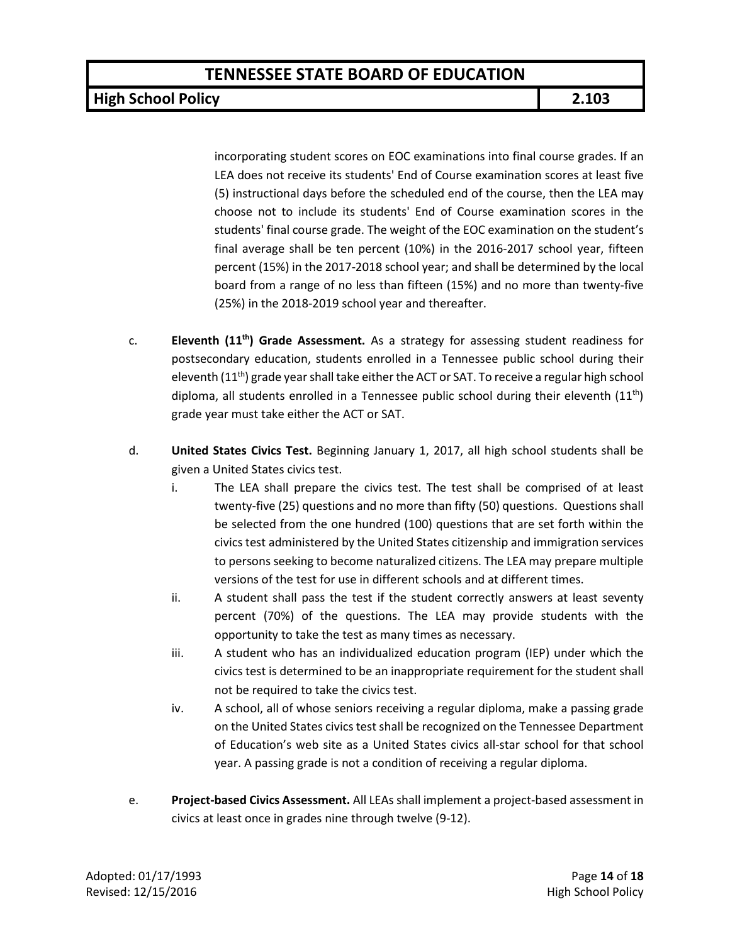**High School Policy 2.103**

incorporating student scores on EOC examinations into final course grades. If an LEA does not receive its students' End of Course examination scores at least five (5) instructional days before the scheduled end of the course, then the LEA may choose not to include its students' End of Course examination scores in the students' final course grade. The weight of the EOC examination on the student's final average shall be ten percent (10%) in the 2016-2017 school year, fifteen percent (15%) in the 2017-2018 school year; and shall be determined by the local board from a range of no less than fifteen (15%) and no more than twenty-five (25%) in the 2018-2019 school year and thereafter.

- c. **Eleventh (11th) Grade Assessment.** As a strategy for assessing student readiness for postsecondary education, students enrolled in a Tennessee public school during their eleventh  $(11<sup>th</sup>)$  grade year shall take either the ACT or SAT. To receive a regular high school diploma, all students enrolled in a Tennessee public school during their eleventh  $(11<sup>th</sup>)$ grade year must take either the ACT or SAT.
- d. **United States Civics Test.** Beginning January 1, 2017, all high school students shall be given a United States civics test.
	- i. The LEA shall prepare the civics test. The test shall be comprised of at least twenty-five (25) questions and no more than fifty (50) questions. Questions shall be selected from the one hundred (100) questions that are set forth within the civics test administered by the United States citizenship and immigration services to persons seeking to become naturalized citizens. The LEA may prepare multiple versions of the test for use in different schools and at different times.
	- ii. A student shall pass the test if the student correctly answers at least seventy percent (70%) of the questions. The LEA may provide students with the opportunity to take the test as many times as necessary.
	- iii. A student who has an individualized education program (IEP) under which the civics test is determined to be an inappropriate requirement for the student shall not be required to take the civics test.
	- iv. A school, all of whose seniors receiving a regular diploma, make a passing grade on the United States civics test shall be recognized on the Tennessee Department of Education's web site as a United States civics all-star school for that school year. A passing grade is not a condition of receiving a regular diploma.
- e. **Project-based Civics Assessment.** All LEAs shall implement a project-based assessment in civics at least once in grades nine through twelve (9-12).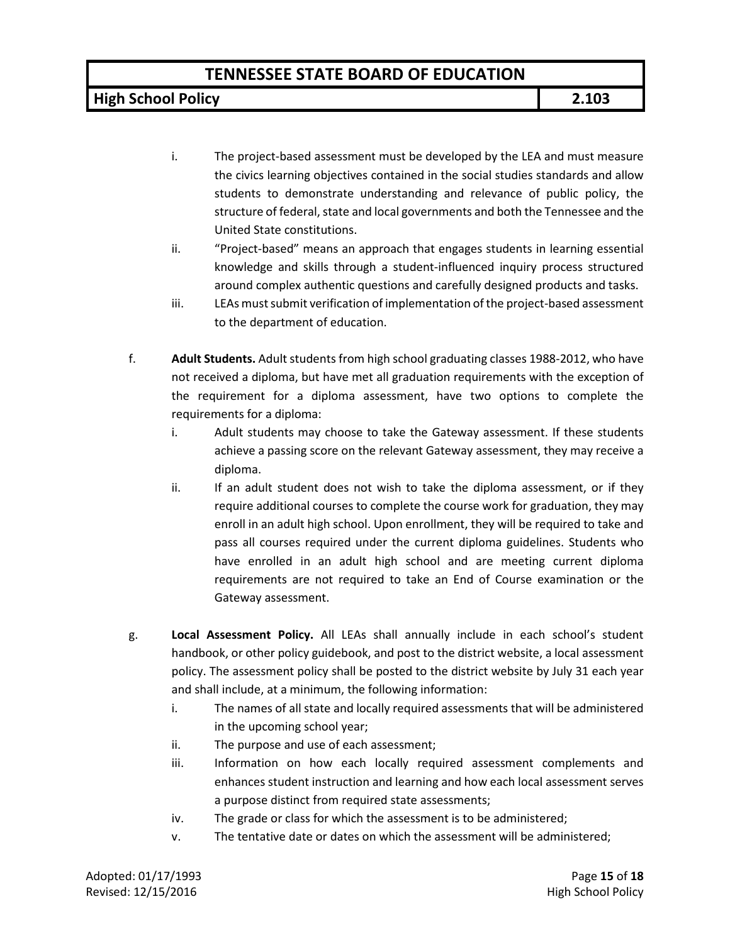**High School Policy 2.103**

- i. The project-based assessment must be developed by the LEA and must measure the civics learning objectives contained in the social studies standards and allow students to demonstrate understanding and relevance of public policy, the structure of federal, state and local governments and both the Tennessee and the United State constitutions.
- ii. "Project-based" means an approach that engages students in learning essential knowledge and skills through a student-influenced inquiry process structured around complex authentic questions and carefully designed products and tasks.
- iii. LEAs must submit verification of implementation of the project-based assessment to the department of education.
- f. **Adult Students.** Adult students from high school graduating classes 1988-2012, who have not received a diploma, but have met all graduation requirements with the exception of the requirement for a diploma assessment, have two options to complete the requirements for a diploma:
	- i. Adult students may choose to take the Gateway assessment. If these students achieve a passing score on the relevant Gateway assessment, they may receive a diploma.
	- ii. If an adult student does not wish to take the diploma assessment, or if they require additional courses to complete the course work for graduation, they may enroll in an adult high school. Upon enrollment, they will be required to take and pass all courses required under the current diploma guidelines. Students who have enrolled in an adult high school and are meeting current diploma requirements are not required to take an End of Course examination or the Gateway assessment.
- g. **Local Assessment Policy.** All LEAs shall annually include in each school's student handbook, or other policy guidebook, and post to the district website, a local assessment policy. The assessment policy shall be posted to the district website by July 31 each year and shall include, at a minimum, the following information:
	- i. The names of all state and locally required assessments that will be administered in the upcoming school year;
	- ii. The purpose and use of each assessment;
	- iii. Information on how each locally required assessment complements and enhances student instruction and learning and how each local assessment serves a purpose distinct from required state assessments;
	- iv. The grade or class for which the assessment is to be administered;
	- v. The tentative date or dates on which the assessment will be administered;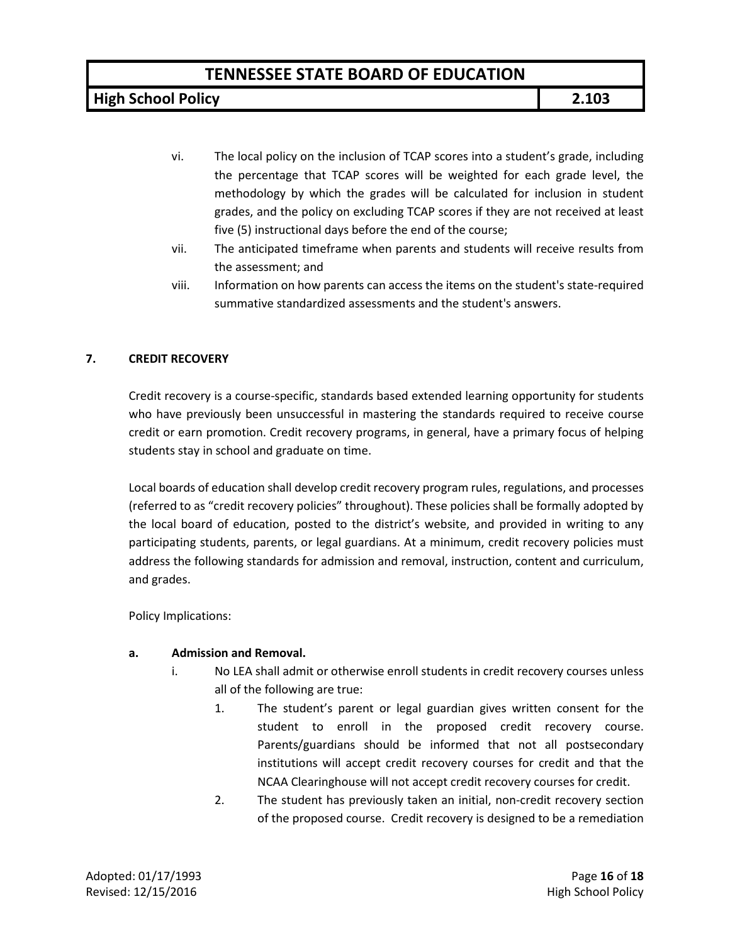**High School Policy 2.103**

- vi. The local policy on the inclusion of TCAP scores into a student's grade, including the percentage that TCAP scores will be weighted for each grade level, the methodology by which the grades will be calculated for inclusion in student grades, and the policy on excluding TCAP scores if they are not received at least five (5) instructional days before the end of the course;
- vii. The anticipated timeframe when parents and students will receive results from the assessment; and
- viii. Information on how parents can access the items on the student's state-required summative standardized assessments and the student's answers.

### **7. CREDIT RECOVERY**

Credit recovery is a course-specific, standards based extended learning opportunity for students who have previously been unsuccessful in mastering the standards required to receive course credit or earn promotion. Credit recovery programs, in general, have a primary focus of helping students stay in school and graduate on time.

Local boards of education shall develop credit recovery program rules, regulations, and processes (referred to as "credit recovery policies" throughout). These policies shall be formally adopted by the local board of education, posted to the district's website, and provided in writing to any participating students, parents, or legal guardians. At a minimum, credit recovery policies must address the following standards for admission and removal, instruction, content and curriculum, and grades.

Policy Implications:

### **a. Admission and Removal.**

- i. No LEA shall admit or otherwise enroll students in credit recovery courses unless all of the following are true:
	- 1. The student's parent or legal guardian gives written consent for the student to enroll in the proposed credit recovery course. Parents/guardians should be informed that not all postsecondary institutions will accept credit recovery courses for credit and that the NCAA Clearinghouse will not accept credit recovery courses for credit.
	- 2. The student has previously taken an initial, non-credit recovery section of the proposed course. Credit recovery is designed to be a remediation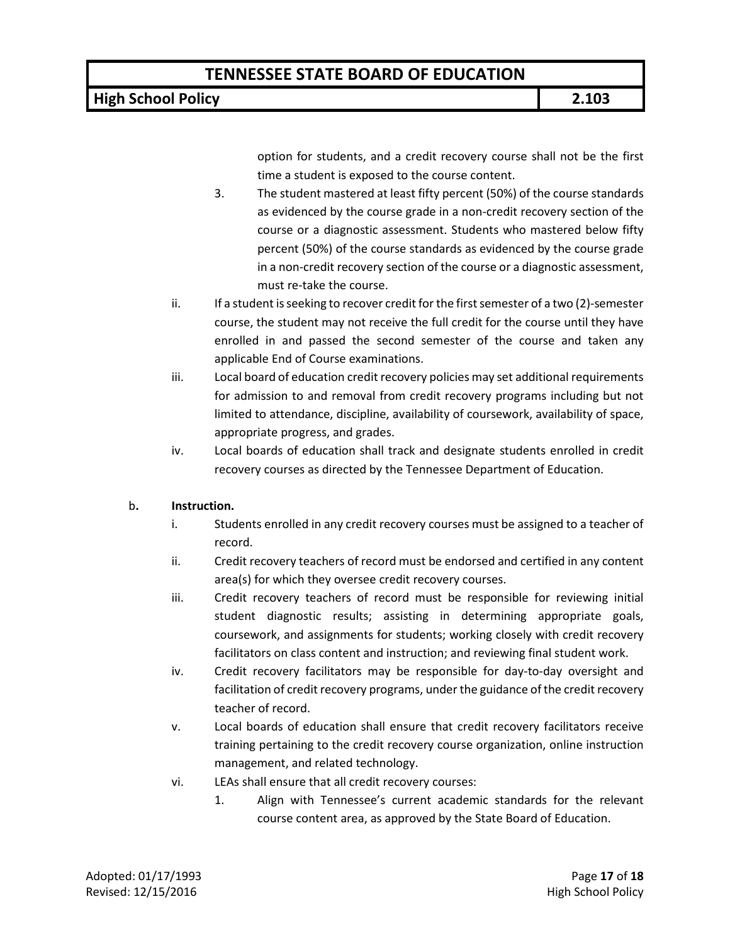### **High School Policy 2.103**

option for students, and a credit recovery course shall not be the first time a student is exposed to the course content.

- 3. The student mastered at least fifty percent (50%) of the course standards as evidenced by the course grade in a non-credit recovery section of the course or a diagnostic assessment. Students who mastered below fifty percent (50%) of the course standards as evidenced by the course grade in a non-credit recovery section of the course or a diagnostic assessment, must re-take the course.
- ii. If a student isseeking to recover credit for the first semester of a two (2)-semester course, the student may not receive the full credit for the course until they have enrolled in and passed the second semester of the course and taken any applicable End of Course examinations.
- iii. Local board of education credit recovery policies may set additional requirements for admission to and removal from credit recovery programs including but not limited to attendance, discipline, availability of coursework, availability of space, appropriate progress, and grades.
- iv. Local boards of education shall track and designate students enrolled in credit recovery courses as directed by the Tennessee Department of Education.

### b**. Instruction.**

- i. Students enrolled in any credit recovery courses must be assigned to a teacher of record.
- ii. Credit recovery teachers of record must be endorsed and certified in any content area(s) for which they oversee credit recovery courses.
- iii. Credit recovery teachers of record must be responsible for reviewing initial student diagnostic results; assisting in determining appropriate goals, coursework, and assignments for students; working closely with credit recovery facilitators on class content and instruction; and reviewing final student work.
- iv. Credit recovery facilitators may be responsible for day-to-day oversight and facilitation of credit recovery programs, under the guidance of the credit recovery teacher of record.
- v. Local boards of education shall ensure that credit recovery facilitators receive training pertaining to the credit recovery course organization, online instruction management, and related technology.
- vi. LEAs shall ensure that all credit recovery courses:
	- 1. Align with Tennessee's current academic standards for the relevant course content area, as approved by the State Board of Education.